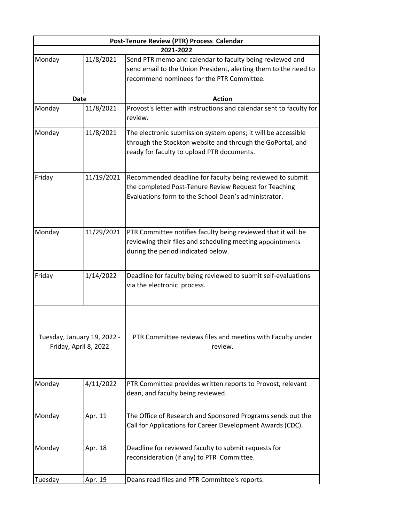| Post-Tenure Review (PTR) Process Calendar            |            |                                                                                                                                                                            |  |
|------------------------------------------------------|------------|----------------------------------------------------------------------------------------------------------------------------------------------------------------------------|--|
| 2021-2022                                            |            |                                                                                                                                                                            |  |
| Monday                                               | 11/8/2021  | Send PTR memo and calendar to faculty being reviewed and<br>send email to the Union President, alerting them to the need to<br>recommend nominees for the PTR Committee.   |  |
| <b>Date</b>                                          |            | <b>Action</b>                                                                                                                                                              |  |
| Monday                                               | 11/8/2021  | Provost's letter with instructions and calendar sent to faculty for<br>review.                                                                                             |  |
| Monday                                               | 11/8/2021  | The electronic submission system opens; it will be accessible<br>through the Stockton website and through the GoPortal, and<br>ready for faculty to upload PTR documents.  |  |
| Friday                                               | 11/19/2021 | Recommended deadline for faculty being reviewed to submit<br>the completed Post-Tenure Review Request for Teaching<br>Evaluations form to the School Dean's administrator. |  |
| Monday                                               | 11/29/2021 | PTR Committee notifies faculty being reviewed that it will be<br>reviewing their files and scheduling meeting appointments<br>during the period indicated below.           |  |
| Friday                                               | 1/14/2022  | Deadline for faculty being reviewed to submit self-evaluations<br>via the electronic process.                                                                              |  |
| Tuesday, January 19, 2022 -<br>Friday, April 8, 2022 |            | PTR Committee reviews files and meetins with Faculty under<br>review.                                                                                                      |  |
| Monday                                               | 4/11/2022  | PTR Committee provides written reports to Provost, relevant<br>dean, and faculty being reviewed.                                                                           |  |
| Monday                                               | Apr. 11    | The Office of Research and Sponsored Programs sends out the<br>Call for Applications for Career Development Awards (CDC).                                                  |  |
| Monday                                               | Apr. 18    | Deadline for reviewed faculty to submit requests for<br>reconsideration (if any) to PTR Committee.                                                                         |  |
| Tuesday                                              | Apr. 19    | Deans read files and PTR Committee's reports.                                                                                                                              |  |